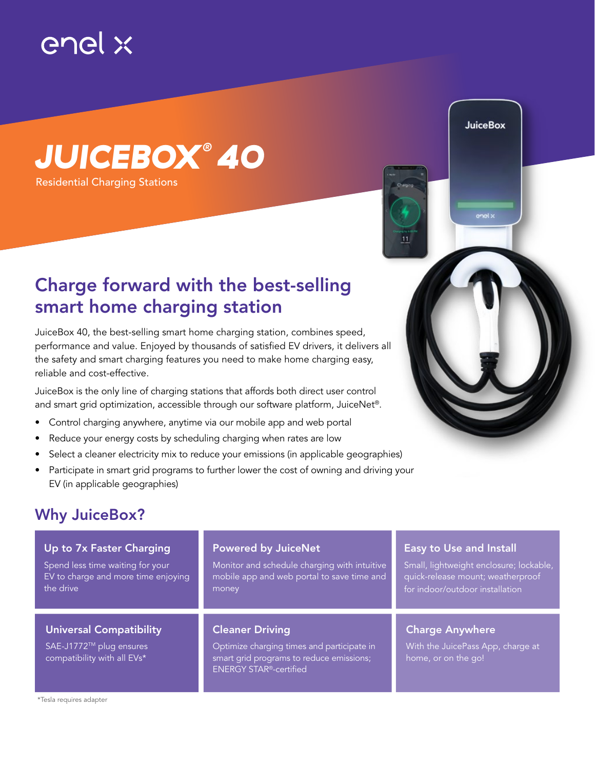

## *JUICEBOX ® 40*

Residential Charging Stations

## Charge forward with the best-selling smart home charging station

JuiceBox 40, the best-selling smart home charging station, combines speed, performance and value. Enjoyed by thousands of satisfied EV drivers, it delivers all the safety and smart charging features you need to make home charging easy, reliable and cost-effective.

JuiceBox is the only line of charging stations that affords both direct user control and smart grid optimization, accessible through our software platform, JuiceNet®.

- Control charging anywhere, anytime via our mobile app and web portal
- Reduce your energy costs by scheduling charging when rates are low
- Select a cleaner electricity mix to reduce your emissions (in applicable geographies)
- Participate in smart grid programs to further lower the cost of owning and driving your EV (in applicable geographies)

## Why JuiceBox?

| Up to 7x Faster Charging                                                                 | <b>Powered by JuiceNet</b>                                                                                                                        | <b>Easy to Use and Install</b>                                                     |
|------------------------------------------------------------------------------------------|---------------------------------------------------------------------------------------------------------------------------------------------------|------------------------------------------------------------------------------------|
| Spend less time waiting for your                                                         | Monitor and schedule charging with intuitive                                                                                                      | Small, lightweight enclosure; lockable,                                            |
| EV to charge and more time enjoying                                                      | mobile app and web portal to save time and                                                                                                        | quick-release mount; weatherproof                                                  |
| the drive                                                                                | money                                                                                                                                             | for indoor/outdoor installation                                                    |
| <b>Universal Compatibility</b><br>SAE-J1772™ plug ensures<br>compatibility with all EVs* | <b>Cleaner Driving</b><br>Optimize charging times and participate in<br>smart grid programs to reduce emissions;<br><b>ENERGY STAR®-certified</b> | <b>Charge Anywhere</b><br>With the JuicePass App, charge at<br>home, or on the go! |

**JuiceBox** 

enel »

\*Tesla requires adapter